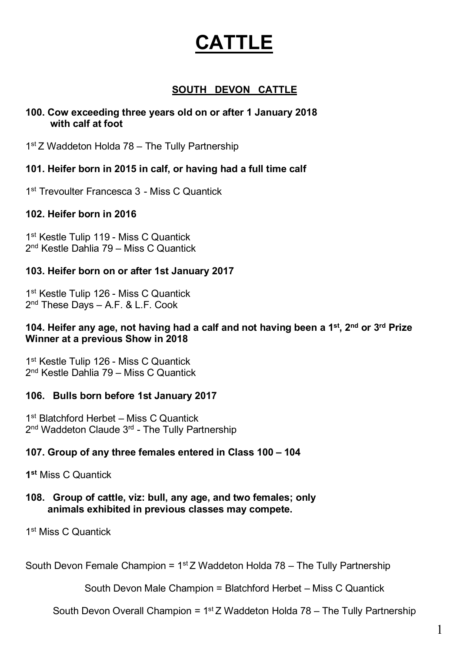# **CATTLE**

#### **SOUTH DEVON CATTLE**

#### **100. Cow exceeding three years old on or after 1 January 2018 with calf at foot**

1<sup>st</sup> Z Waddeton Holda 78 – The Tully Partnership

#### **101. Heifer born in 2015 in calf, or having had a full time calf**

1<sup>st</sup> Trevoulter Francesca 3 - Miss C Quantick

#### **102. Heifer born in 2016**

1<sup>st</sup> Kestle Tulip 119 - Miss C Quantick 2nd Kestle Dahlia 79 – Miss C Quantick

#### **103. Heifer born on or after 1st January 2017**

1<sup>st</sup> Kestle Tulip 126 - Miss C Quantick 2nd These Days – A.F. & L.F. Cook

#### **104. Heifer any age, not having had a calf and not having been a 1st, 2nd or 3rd Prize Winner at a previous Show in 2018**

1<sup>st</sup> Kestle Tulip 126 - Miss C Quantick 2nd Kestle Dahlia 79 – Miss C Quantick

#### **106. Bulls born before 1st January 2017**

1<sup>st</sup> Blatchford Herbet – Miss C Quantick 2<sup>nd</sup> Waddeton Claude 3<sup>rd</sup> - The Tully Partnership

#### **107. Group of any three females entered in Class 100 – 104**

**1st** Miss C Quantick

#### **108. Group of cattle, viz: bull, any age, and two females; only animals exhibited in previous classes may compete.**

1st Miss C Quantick

South Devon Female Champion =  $1<sup>st</sup>Z$  Waddeton Holda 78 – The Tully Partnership

South Devon Male Champion = Blatchford Herbet – Miss C Quantick

South Devon Overall Champion =  $1<sup>st</sup> Z$  Waddeton Holda 78 – The Tully Partnership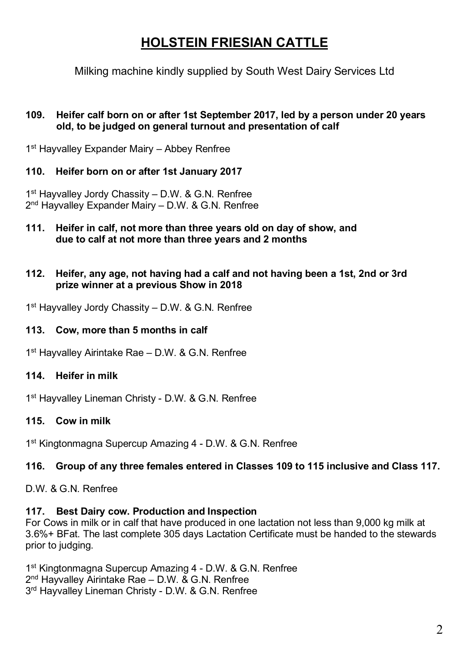# **HOLSTEIN FRIESIAN CATTLE**

Milking machine kindly supplied by South West Dairy Services Ltd

#### **109. Heifer calf born on or after 1st September 2017, led by a person under 20 years old, to be judged on general turnout and presentation of calf**

1<sup>st</sup> Hayvalley Expander Mairy – Abbey Renfree

#### **110. Heifer born on or after 1st January 2017**

1<sup>st</sup> Hayvalley Jordy Chassity – D.W. & G.N. Renfree 2<sup>nd</sup> Hayvalley Expander Mairy – D.W. & G.N. Renfree

**111. Heifer in calf, not more than three years old on day of show, and due to calf at not more than three years and 2 months**

#### **112. Heifer, any age, not having had a calf and not having been a 1st, 2nd or 3rd prize winner at a previous Show in 2018**

1<sup>st</sup> Hayvalley Jordy Chassity – D.W. & G.N. Renfree

#### **113. Cow, more than 5 months in calf**

1<sup>st</sup> Hayvalley Airintake Rae - D.W. & G.N. Renfree

#### **114. Heifer in milk**

1<sup>st</sup> Hayvalley Lineman Christy - D.W. & G.N. Renfree

#### **115. Cow in milk**

1<sup>st</sup> Kingtonmagna Supercup Amazing 4 - D.W. & G.N. Renfree

#### **116. Group of any three females entered in Classes 109 to 115 inclusive and Class 117.**

D.W. & G.N. Renfree

#### **117. Best Dairy cow. Production and Inspection**

For Cows in milk or in calf that have produced in one lactation not less than 9,000 kg milk at 3.6%+ BFat. The last complete 305 days Lactation Certificate must be handed to the stewards prior to judging.

1st Kingtonmagna Supercup Amazing 4 - D.W. & G.N. Renfree 2<sup>nd</sup> Hayvalley Airintake Rae - D.W. & G.N. Renfree 3<sup>rd</sup> Hayvalley Lineman Christy - D.W. & G.N. Renfree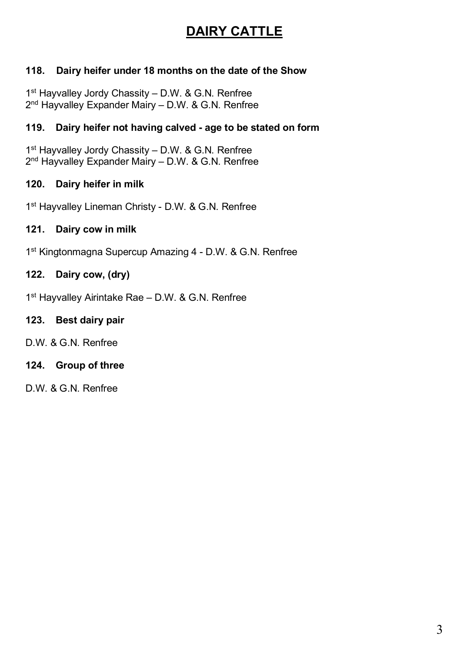# **DAIRY CATTLE**

#### **118. Dairy heifer under 18 months on the date of the Show**

1<sup>st</sup> Hayvalley Jordy Chassity – D.W. & G.N. Renfree 2<sup>nd</sup> Hayvalley Expander Mairy – D.W. & G.N. Renfree

#### **119. Dairy heifer not having calved - age to be stated on form**

1<sup>st</sup> Hayvalley Jordy Chassity - D.W. & G.N. Renfree 2<sup>nd</sup> Hayvalley Expander Mairy – D.W. & G.N. Renfree

#### **120. Dairy heifer in milk**

1<sup>st</sup> Hayvalley Lineman Christy - D.W. & G.N. Renfree

#### **121. Dairy cow in milk**

1<sup>st</sup> Kingtonmagna Supercup Amazing 4 - D.W. & G.N. Renfree

#### **122. Dairy cow, (dry)**

1<sup>st</sup> Hayvalley Airintake Rae - D.W. & G.N. Renfree

#### **123. Best dairy pair**

D.W. & G.N. Renfree

#### **124. Group of three**

D.W. & G.N. Renfree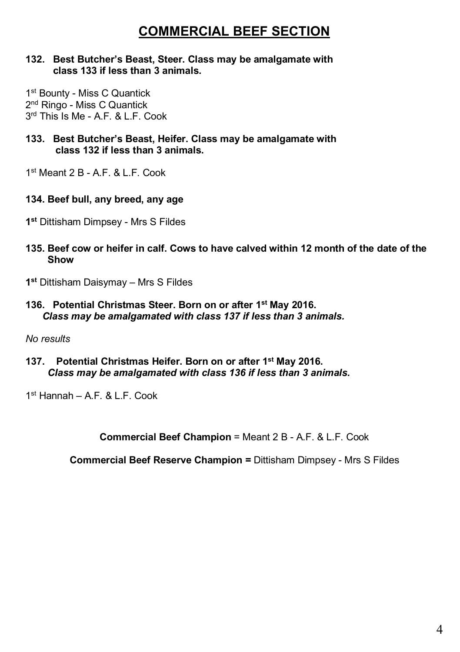# **COMMERCIAL BEEF SECTION**

#### **132. Best Butcher's Beast, Steer. Class may be amalgamate with class 133 if less than 3 animals.**

1<sup>st</sup> Bounty - Miss C Quantick 2nd Ringo - Miss C Quantick 3rd This Is Me - A.F. & L.F. Cook

- **133. Best Butcher's Beast, Heifer. Class may be amalgamate with class 132 if less than 3 animals.**
- $1<sup>st</sup>$  Meant  $2 B AF$  & L.F. Cook.

#### **134. Beef bull, any breed, any age**

- **1st** Dittisham Dimpsey Mrs S Fildes
- **135. Beef cow or heifer in calf. Cows to have calved within 12 month of the date of the Show**
- **1st** Dittisham Daisymay Mrs S Fildes
- **136. Potential Christmas Steer. Born on or after 1st May 2016.**  *Class may be amalgamated with class 137 if less than 3 animals.*

*No results*

**137. Potential Christmas Heifer. Born on or after 1st May 2016.** *Class may be amalgamated with class 136 if less than 3 animals.*

 $1<sup>st</sup>$  Hannah – A.F.  $R \perp F$ . Cook.

**Commercial Beef Champion** = Meant 2 B - A.F. & L.F. Cook

**Commercial Beef Reserve Champion =** Dittisham Dimpsey - Mrs S Fildes